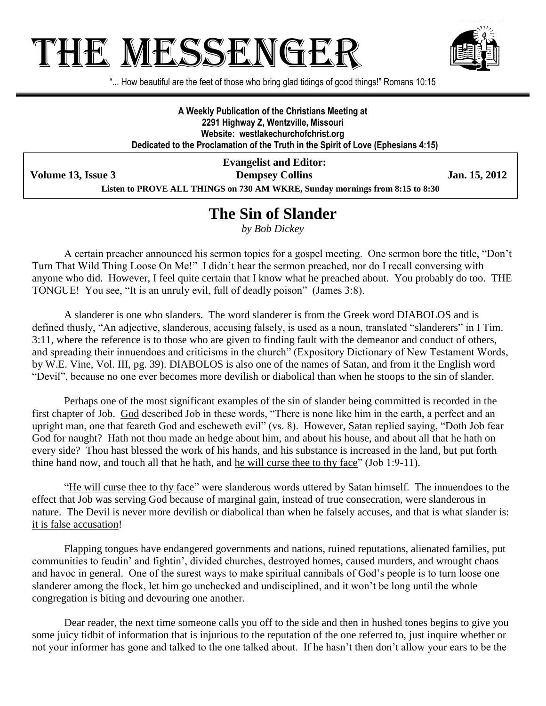# THE MESSENGE:



"... How beautiful are the feet of those who bring glad tidings of good things!" Romans 10:15

**A Weekly Publication of the Christians Meeting at 2291 Highway Z, Wentzville, Missouri Website: westlakechurchofchrist.org Dedicated to the Proclamation of the Truth in the Spirit of Love (Ephesians 4:15)**

**Evangelist and Editor: Volume 13, Issue 3 Dempsey Collins Jan. 15, 2012 Listen to PROVE ALL THINGS on 730 AM WKRE, Sunday mornings from 8:15 to 8:30**

### **The Sin of Slander**

*by Bob Dickey*

A certain preacher announced his sermon topics for a gospel meeting. One sermon bore the title, "Don't Turn That Wild Thing Loose On Me!" I didn't hear the sermon preached, nor do I recall conversing with anyone who did. However, I feel quite certain that I know what he preached about. You probably do too. THE TONGUE! You see, "It is an unruly evil, full of deadly poison" (James 3:8).

A slanderer is one who slanders. The word slanderer is from the Greek word DIABOLOS and is defined thusly, "An adjective, slanderous, accusing falsely, is used as a noun, translated "slanderers" in I Tim. 3:11, where the reference is to those who are given to finding fault with the demeanor and conduct of others, and spreading their innuendoes and criticisms in the church" (Expository Dictionary of New Testament Words, by W.E. Vine, Vol. III, pg. 39). DIABOLOS is also one of the names of Satan, and from it the English word "Devil", because no one ever becomes more devilish or diabolical than when he stoops to the sin of slander.

Perhaps one of the most significant examples of the sin of slander being committed is recorded in the first chapter of Job. God described Job in these words, "There is none like him in the earth, a perfect and an upright man, one that feareth God and escheweth evil" (vs. 8). However, Satan replied saying, "Doth Job fear God for naught? Hath not thou made an hedge about him, and about his house, and about all that he hath on every side? Thou hast blessed the work of his hands, and his substance is increased in the land, but put forth thine hand now, and touch all that he hath, and he will curse thee to thy face" (Job 1:9-11).

"He will curse thee to thy face" were slanderous words uttered by Satan himself. The innuendoes to the effect that Job was serving God because of marginal gain, instead of true consecration, were slanderous in nature. The Devil is never more devilish or diabolical than when he falsely accuses, and that is what slander is: it is false accusation!

Flapping tongues have endangered governments and nations, ruined reputations, alienated families, put communities to feudin' and fightin', divided churches, destroyed homes, caused murders, and wrought chaos and havoc in general. One of the surest ways to make spiritual cannibals of God's people is to turn loose one slanderer among the flock, let him go unchecked and undisciplined, and it won't be long until the whole congregation is biting and devouring one another.

Dear reader, the next time someone calls you off to the side and then in hushed tones begins to give you some juicy tidbit of information that is injurious to the reputation of the one referred to, just inquire whether or not your informer has gone and talked to the one talked about. If he hasn't then don't allow your ears to be the